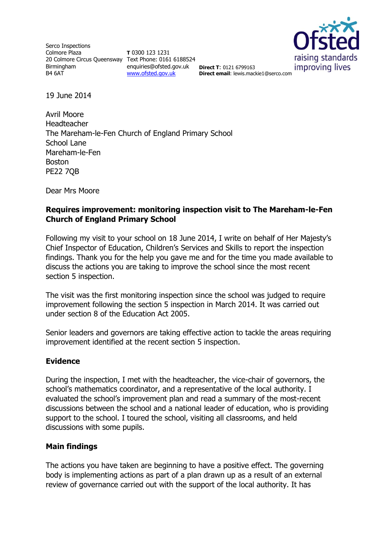Serco Inspections Colmore Plaza 20 Colmore Circus Queensway Text Phone: 0161 6188524 Birmingham B4 6AT

**T** 0300 123 1231 enquiries@ofsted.gov.uk **Direct T**: 0121 6799163 [www.ofsted.gov.uk](http://www.ofsted.gov.uk/)



**Direct email**: lewis.mackie1@serco.com

19 June 2014

Avril Moore Headteacher The Mareham-le-Fen Church of England Primary School School Lane Mareham-le-Fen Boston PE22 7QB

Dear Mrs Moore

## **Requires improvement: monitoring inspection visit to The Mareham-le-Fen Church of England Primary School**

Following my visit to your school on 18 June 2014, I write on behalf of Her Majesty's Chief Inspector of Education, Children's Services and Skills to report the inspection findings. Thank you for the help you gave me and for the time you made available to discuss the actions you are taking to improve the school since the most recent section 5 inspection.

The visit was the first monitoring inspection since the school was judged to require improvement following the section 5 inspection in March 2014. It was carried out under section 8 of the Education Act 2005.

Senior leaders and governors are taking effective action to tackle the areas requiring improvement identified at the recent section 5 inspection.

## **Evidence**

During the inspection, I met with the headteacher, the vice-chair of governors, the school's mathematics coordinator, and a representative of the local authority. I evaluated the school's improvement plan and read a summary of the most-recent discussions between the school and a national leader of education, who is providing support to the school. I toured the school, visiting all classrooms, and held discussions with some pupils.

## **Main findings**

The actions you have taken are beginning to have a positive effect. The governing body is implementing actions as part of a plan drawn up as a result of an external review of governance carried out with the support of the local authority. It has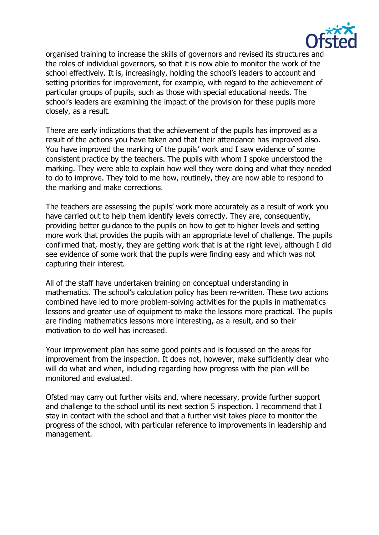

organised training to increase the skills of governors and revised its structures and the roles of individual governors, so that it is now able to monitor the work of the school effectively. It is, increasingly, holding the school's leaders to account and setting priorities for improvement, for example, with regard to the achievement of particular groups of pupils, such as those with special educational needs. The school's leaders are examining the impact of the provision for these pupils more closely, as a result.

There are early indications that the achievement of the pupils has improved as a result of the actions you have taken and that their attendance has improved also. You have improved the marking of the pupils' work and I saw evidence of some consistent practice by the teachers. The pupils with whom I spoke understood the marking. They were able to explain how well they were doing and what they needed to do to improve. They told to me how, routinely, they are now able to respond to the marking and make corrections.

The teachers are assessing the pupils' work more accurately as a result of work you have carried out to help them identify levels correctly. They are, consequently, providing better guidance to the pupils on how to get to higher levels and setting more work that provides the pupils with an appropriate level of challenge. The pupils confirmed that, mostly, they are getting work that is at the right level, although I did see evidence of some work that the pupils were finding easy and which was not capturing their interest.

All of the staff have undertaken training on conceptual understanding in mathematics. The school's calculation policy has been re-written. These two actions combined have led to more problem-solving activities for the pupils in mathematics lessons and greater use of equipment to make the lessons more practical. The pupils are finding mathematics lessons more interesting, as a result, and so their motivation to do well has increased.

Your improvement plan has some good points and is focussed on the areas for improvement from the inspection. It does not, however, make sufficiently clear who will do what and when, including regarding how progress with the plan will be monitored and evaluated.

Ofsted may carry out further visits and, where necessary, provide further support and challenge to the school until its next section 5 inspection. I recommend that I stay in contact with the school and that a further visit takes place to monitor the progress of the school, with particular reference to improvements in leadership and management.